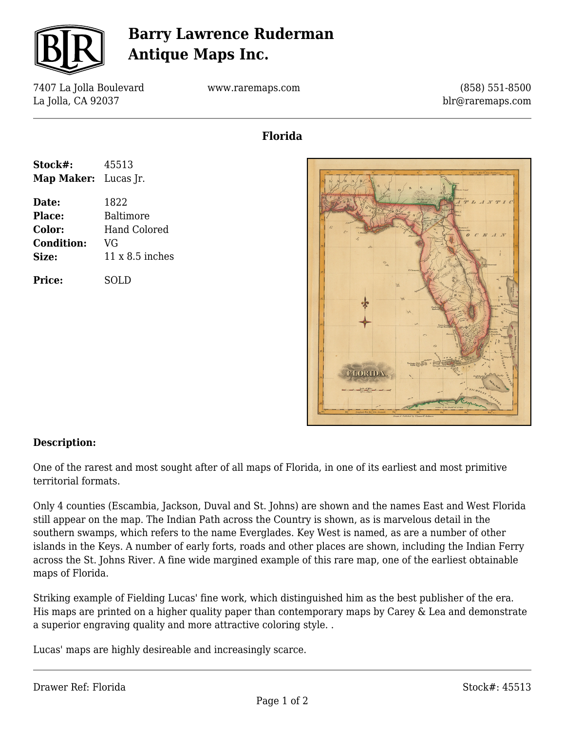

## **Barry Lawrence Ruderman Antique Maps Inc.**

7407 La Jolla Boulevard La Jolla, CA 92037

www.raremaps.com

(858) 551-8500 blr@raremaps.com

### **Florida**

| Stock#:                     | 45513           |
|-----------------------------|-----------------|
| <b>Map Maker:</b> Lucas Jr. |                 |
| Date:                       | 1822            |
| Place:                      | Baltimore       |
| <b>Color:</b>               | Hand Colored    |
| <b>Condition:</b>           | VG              |
| <b>Size:</b>                | 11 x 8.5 inches |
| <b>Price:</b>               | SOLD            |



#### **Description:**

One of the rarest and most sought after of all maps of Florida, in one of its earliest and most primitive territorial formats.

Only 4 counties (Escambia, Jackson, Duval and St. Johns) are shown and the names East and West Florida still appear on the map. The Indian Path across the Country is shown, as is marvelous detail in the southern swamps, which refers to the name Everglades. Key West is named, as are a number of other islands in the Keys. A number of early forts, roads and other places are shown, including the Indian Ferry across the St. Johns River. A fine wide margined example of this rare map, one of the earliest obtainable maps of Florida.

Striking example of Fielding Lucas' fine work, which distinguished him as the best publisher of the era. His maps are printed on a higher quality paper than contemporary maps by Carey & Lea and demonstrate a superior engraving quality and more attractive coloring style. .

Lucas' maps are highly desireable and increasingly scarce.